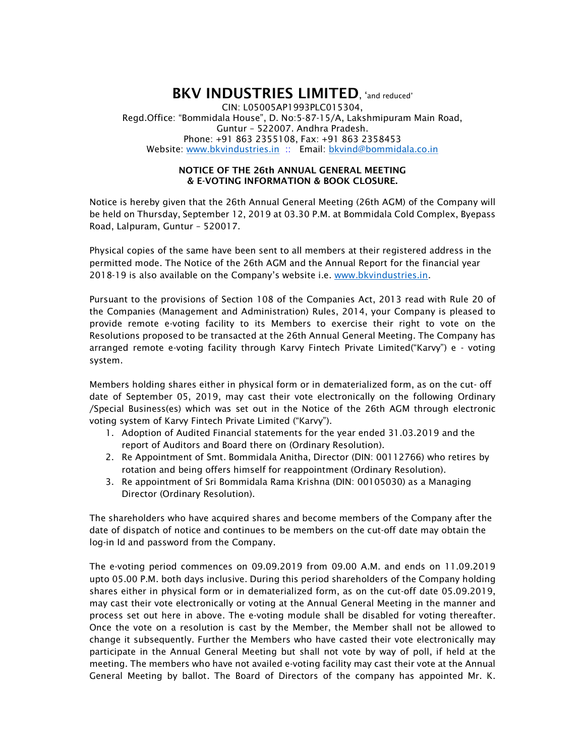## BKV INDUSTRIES LIMITED, 'and reduced' CIN: L05005AP1993PLC015304, Regd.Office: "Bommidala House", D. No:5-87-15/A, Lakshmipuram Main Road, Guntur – 522007. Andhra Pradesh. Phone: +91 863 2355108, Fax: +91 863 2358453 Website: www.bkvindustries.in :: Email: bkvind@bommidala.co.in

## NOTICE OF THE 26th ANNUAL GENERAL MEETING & E-VOTING INFORMATION & BOOK CLOSURE.

Notice is hereby given that the 26th Annual General Meeting (26th AGM) of the Company will be held on Thursday, September 12, 2019 at 03.30 P.M. at Bommidala Cold Complex, Byepass Road, Lalpuram, Guntur – 520017.

Physical copies of the same have been sent to all members at their registered address in the permitted mode. The Notice of the 26th AGM and the Annual Report for the financial year 2018-19 is also available on the Company's website i.e. www.bkvindustries.in.

Pursuant to the provisions of Section 108 of the Companies Act, 2013 read with Rule 20 of the Companies (Management and Administration) Rules, 2014, your Company is pleased to provide remote e-voting facility to its Members to exercise their right to vote on the Resolutions proposed to be transacted at the 26th Annual General Meeting. The Company has arranged remote e-voting facility through Karvy Fintech Private Limited("Karvy") e - voting system.

Members holding shares either in physical form or in dematerialized form, as on the cut- off date of September 05, 2019, may cast their vote electronically on the following Ordinary /Special Business(es) which was set out in the Notice of the 26th AGM through electronic voting system of Karvy Fintech Private Limited ("Karvy").

- 1. Adoption of Audited Financial statements for the year ended 31.03.2019 and the report of Auditors and Board there on (Ordinary Resolution).
- 2. Re Appointment of Smt. Bommidala Anitha, Director (DIN: 00112766) who retires by rotation and being offers himself for reappointment (Ordinary Resolution).
- 3. Re appointment of Sri Bommidala Rama Krishna (DIN: 00105030) as a Managing Director (Ordinary Resolution).

The shareholders who have acquired shares and become members of the Company after the date of dispatch of notice and continues to be members on the cut-off date may obtain the log-in Id and password from the Company.

The e-voting period commences on 09.09.2019 from 09.00 A.M. and ends on 11.09.2019 upto 05.00 P.M. both days inclusive. During this period shareholders of the Company holding shares either in physical form or in dematerialized form, as on the cut-off date 05.09.2019, may cast their vote electronically or voting at the Annual General Meeting in the manner and process set out here in above. The e-voting module shall be disabled for voting thereafter. Once the vote on a resolution is cast by the Member, the Member shall not be allowed to change it subsequently. Further the Members who have casted their vote electronically may participate in the Annual General Meeting but shall not vote by way of poll, if held at the meeting. The members who have not availed e-voting facility may cast their vote at the Annual General Meeting by ballot. The Board of Directors of the company has appointed Mr. K.